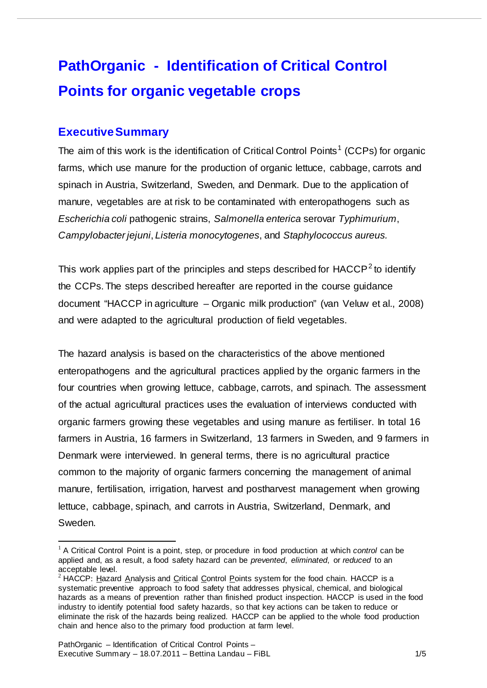## **PathOrganic - Identification of Critical Control Points for organic vegetable crops**

## **Executive Summary**

The aim of this work is the identification of Critical Control Points<sup>[1](#page-0-0)</sup> (CCPs) for organic farms, which use manure for the production of organic lettuce, cabbage, carrots and spinach in Austria, Switzerland, Sweden, and Denmark. Due to the application of manure, vegetables are at risk to be contaminated with enteropathogens such as *Escherichia coli* pathogenic strains, *Salmonella enterica* serovar *Typhimurium*, *Campylobacter jejuni*, *Listeria monocytogenes*, and *Staphylococcus aureus.*

This work applies part of the principles and steps described for  $HACCP<sup>2</sup>$  $HACCP<sup>2</sup>$  $HACCP<sup>2</sup>$  to identify the CCPs. The steps described hereafter are reported in the course guidance document "HACCP in agriculture – Organic milk production" (van Veluw et al., 2008) and were adapted to the agricultural production of field vegetables.

The hazard analysis is based on the characteristics of the above mentioned enteropathogens and the agricultural practices applied by the organic farmers in the four countries when growing lettuce, cabbage, carrots, and spinach. The assessment of the actual agricultural practices uses the evaluation of interviews conducted with organic farmers growing these vegetables and using manure as fertiliser. In total 16 farmers in Austria, 16 farmers in Switzerland, 13 farmers in Sweden, and 9 farmers in Denmark were interviewed. In general terms, there is no agricultural practice common to the majority of organic farmers concerning the management of animal manure, fertilisation, irrigation, harvest and postharvest management when growing lettuce, cabbage, spinach, and carrots in Austria, Switzerland, Denmark, and Sweden.

<span id="page-0-0"></span> <sup>1</sup> A Critical Control Point is a point, step, or procedure in food production at which *control* can be applied and, as a result, a food safety hazard can be *prevented*, *eliminated*, or *reduced* to an acceptable level.

<span id="page-0-1"></span> $2$  HACCP: Hazard Analysis and Critical Control Points system for the food chain. HACCP is a systematic preventive approach to food safety that addresses physical, chemical, and biological hazards as a means of prevention rather than finished product inspection. HACCP is used in the food industry to identify potential food safety hazards, so that key actions can be taken to reduce or eliminate the risk of the hazards being realized. HACCP can be applied to the whole food production chain and hence also to the primary food production at farm level.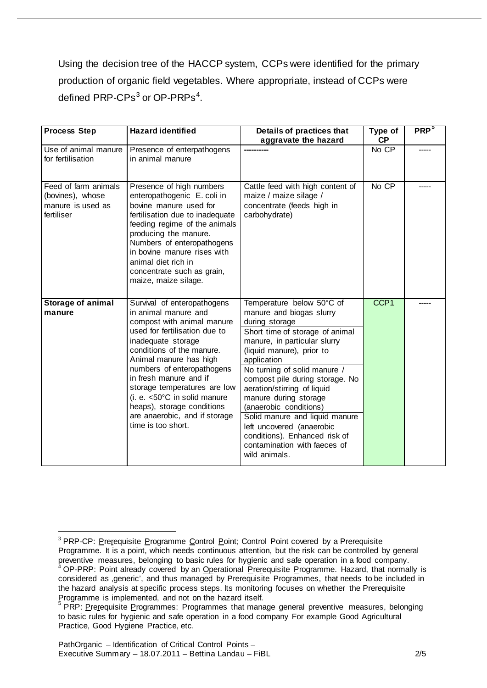Using the decision tree of the HACCP system, CCPs were identified for the primary production of organic field vegetables. Where appropriate, instead of CCPs were defined PRP-CPs<sup>[3](#page-1-0)</sup> or OP-PRPs<sup>[4](#page-1-1)</sup>.

| <b>Process Step</b>                                                         | <b>Hazard identified</b>                                                                                                                                                                                                                                                                                                                                                                                     | Details of practices that<br>aggravate the hazard                                                                                                                                                                                                                                                                                                                                                                                                                                            | Type of<br><b>CP</b> | PRP <sup>5</sup> |
|-----------------------------------------------------------------------------|--------------------------------------------------------------------------------------------------------------------------------------------------------------------------------------------------------------------------------------------------------------------------------------------------------------------------------------------------------------------------------------------------------------|----------------------------------------------------------------------------------------------------------------------------------------------------------------------------------------------------------------------------------------------------------------------------------------------------------------------------------------------------------------------------------------------------------------------------------------------------------------------------------------------|----------------------|------------------|
| Use of animal manure<br>for fertilisation                                   | Presence of enterpathogens<br>in animal manure                                                                                                                                                                                                                                                                                                                                                               |                                                                                                                                                                                                                                                                                                                                                                                                                                                                                              | No CP                |                  |
| Feed of farm animals<br>(bovines), whose<br>manure is used as<br>fertiliser | Presence of high numbers<br>enteropathogenic E. coli in<br>bovine manure used for<br>fertilisation due to inadequate<br>feeding regime of the animals<br>producing the manure.<br>Numbers of enteropathogens<br>in bovine manure rises with<br>animal diet rich in<br>concentrate such as grain,<br>maize, maize silage.                                                                                     | Cattle feed with high content of<br>maize / maize silage /<br>concentrate (feeds high in<br>carbohydrate)                                                                                                                                                                                                                                                                                                                                                                                    | No CP                |                  |
| <b>Storage of animal</b><br>manure                                          | Survival of enteropathogens<br>in animal manure and<br>compost with animal manure<br>used for fertilisation due to<br>inadequate storage<br>conditions of the manure.<br>Animal manure has high<br>numbers of enteropathogens<br>in fresh manure and if<br>storage temperatures are low<br>(i. e. <50°C in solid manure<br>heaps), storage conditions<br>are anaerobic, and if storage<br>time is too short. | Temperature below 50°C of<br>manure and biogas slurry<br>during storage<br>Short time of storage of animal<br>manure, in particular slurry<br>(liquid manure), prior to<br>application<br>No turning of solid manure /<br>compost pile during storage. No<br>aeration/stirring of liquid<br>manure during storage<br>(anaerobic conditions)<br>Solid manure and liquid manure<br>left uncovered (anaerobic<br>conditions). Enhanced risk of<br>contamination with faeces of<br>wild animals. | CCP <sub>1</sub>     |                  |

<span id="page-1-1"></span><span id="page-1-0"></span><sup>&</sup>lt;sup>3</sup> PRP-CP: Prerequisite Programme Control Point; Control Point covered by a Prerequisite Programme. It is a point, which needs continuous attention, but the risk can be controlled by general preventive measures, belonging to basic rules for hygienic and safe operation in a food company.<br><sup>4</sup> OP-PRP: Point already covered by an Operational <u>Prer</u>equisite Programme. Hazard, that normally is considered as , generic', and thus managed by Prerequisite Programmes, that needs to be included in the hazard analysis at specific process steps. Its monitoring focuses on whether the Prerequisite Programme is implemented, and not on the hazard itself.

<span id="page-1-2"></span><sup>&</sup>lt;sup>5</sup> PRP: Prerequisite Programmes: Programmes that manage general preventive measures, belonging to basic rules for hygienic and safe operation in a food company For example Good Agricultural Practice, Good Hygiene Practice, etc.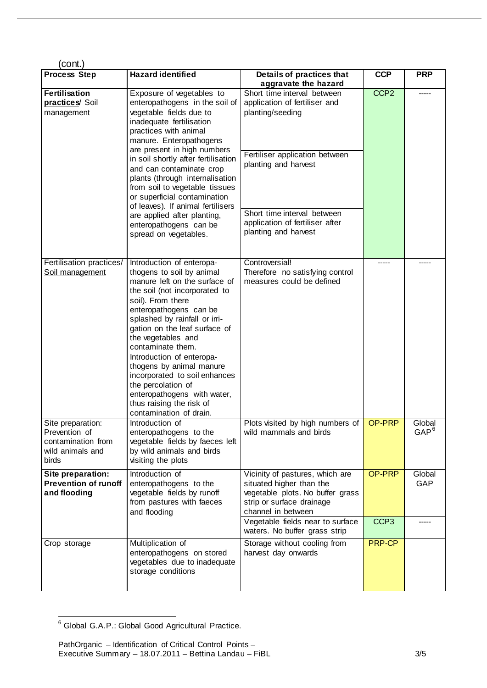| (cont.)                                                                               |                                                                                                                                                                                                                                                                                                                                                                                                                                                                                                      |                                                                                                                                                                                                                                      |                            |                      |
|---------------------------------------------------------------------------------------|------------------------------------------------------------------------------------------------------------------------------------------------------------------------------------------------------------------------------------------------------------------------------------------------------------------------------------------------------------------------------------------------------------------------------------------------------------------------------------------------------|--------------------------------------------------------------------------------------------------------------------------------------------------------------------------------------------------------------------------------------|----------------------------|----------------------|
| <b>Process Step</b>                                                                   | <b>Hazard identified</b>                                                                                                                                                                                                                                                                                                                                                                                                                                                                             | Details of practices that<br>aggravate the hazard                                                                                                                                                                                    | <b>CCP</b>                 | <b>PRP</b>           |
| <b>Fertilisation</b><br>practices/ Soil<br>management                                 | Exposure of vegetables to<br>enteropathogens in the soil of<br>vegetable fields due to<br>inadequate fertilisation<br>practices with animal<br>manure. Enteropathogens<br>are present in high numbers<br>in soil shortly after fertilisation<br>and can contaminate crop<br>plants (through internalisation<br>from soil to vegetable tissues<br>or superficial contamination<br>of leaves). If animal fertilisers<br>are applied after planting,<br>enteropathogens can be<br>spread on vegetables. | Short time interval between<br>application of fertiliser and<br>planting/seeding<br>Fertiliser application between<br>planting and harvest<br>Short time interval between<br>application of fertiliser after<br>planting and harvest | CCP <sub>2</sub>           |                      |
| Fertilisation practices/<br>Soil management                                           | Introduction of enteropa-<br>thogens to soil by animal<br>manure left on the surface of<br>the soil (not incorporated to<br>soil). From there<br>enteropathogens can be<br>splashed by rainfall or irri-<br>gation on the leaf surface of<br>the vegetables and<br>contaminate them.<br>Introduction of enteropa-<br>thogens by animal manure<br>incorporated to soil enhances<br>the percolation of<br>enteropathogens with water,<br>thus raising the risk of<br>contamination of drain.           | Controversial!<br>Therefore no satisfying control<br>measures could be defined                                                                                                                                                       |                            |                      |
| Site preparation:<br>Prevention of<br>contamination from<br>wild animals and<br>birds | Introduction of<br>enteropathogens to the<br>vegetable fields by faeces left<br>by wild animals and birds<br>visiting the plots                                                                                                                                                                                                                                                                                                                                                                      | Plots visited by high numbers of<br>wild mammals and birds                                                                                                                                                                           | OP-PRP                     | Global<br>$GAP^6$    |
| Site preparation:<br><b>Prevention of runoff</b><br>and flooding                      | Introduction of<br>enteropathogens to the<br>vegetable fields by runoff<br>from pastures with faeces<br>and flooding                                                                                                                                                                                                                                                                                                                                                                                 | Vicinity of pastures, which are<br>situated higher than the<br>vegetable plots. No buffer grass<br>strip or surface drainage<br>channel in between<br>Vegetable fields near to surface                                               | OP-PRP<br>CCP <sub>3</sub> | Global<br><b>GAP</b> |
| Crop storage                                                                          | Multiplication of<br>enteropathogens on stored<br>vegetables due to inadequate<br>storage conditions                                                                                                                                                                                                                                                                                                                                                                                                 | waters. No buffer grass strip<br>Storage without cooling from<br>harvest day onwards                                                                                                                                                 | <b>PRP-CP</b>              |                      |

<span id="page-2-0"></span><sup>6</sup> Global G.A.P.: Global Good Agricultural Practice.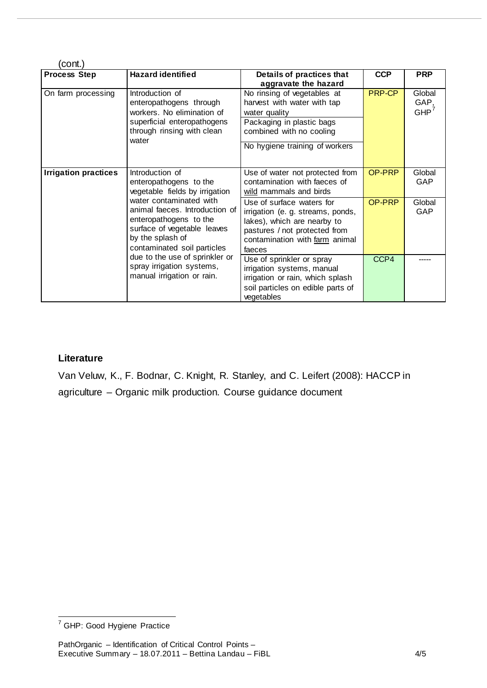| cont.)                                                             |                                                                                                                                                                                                                                                |                                                                                                                                                                            |               |                        |  |  |
|--------------------------------------------------------------------|------------------------------------------------------------------------------------------------------------------------------------------------------------------------------------------------------------------------------------------------|----------------------------------------------------------------------------------------------------------------------------------------------------------------------------|---------------|------------------------|--|--|
| <b>Process Step</b>                                                | <b>Hazard identified</b>                                                                                                                                                                                                                       | Details of practices that<br>aggravate the hazard                                                                                                                          | <b>CCP</b>    | <b>PRP</b>             |  |  |
| On farm processing                                                 | Introduction of<br>enteropathogens through<br>workers. No elimination of<br>superficial enteropathogens<br>through rinsing with clean<br>water                                                                                                 | No rinsing of vegetables at<br>harvest with water with tap<br>water quality<br>Packaging in plastic bags<br>combined with no cooling<br>No hygiene training of workers     | <b>PRP-CP</b> | Global<br>GAP,<br>GHP' |  |  |
| <b>Irrigation practices</b><br>Introduction of<br>by the splash of | enteropathogens to the<br>vegetable fields by irrigation                                                                                                                                                                                       | Use of water not protected from<br>contamination with faeces of<br>wild mammals and birds                                                                                  | OP-PRP        | Global<br><b>GAP</b>   |  |  |
|                                                                    | water contaminated with<br>animal faeces. Introduction of<br>enteropathogens to the<br>surface of vegetable leaves<br>contaminated soil particles<br>due to the use of sprinkler or<br>spray irrigation systems,<br>manual irrigation or rain. | Use of surface waters for<br>irrigation (e. g. streams, ponds,<br>lakes), which are nearby to<br>pastures / not protected from<br>contamination with farm animal<br>faeces | OP-PRP        | Global<br><b>GAP</b>   |  |  |
|                                                                    |                                                                                                                                                                                                                                                | Use of sprinkler or spray<br>irrigation systems, manual<br>irrigation or rain, which splash<br>soil particles on edible parts of<br>vegetables                             | CCP4          |                        |  |  |

## **Literature**

Van Veluw, K., F. Bodnar, C. Knight, R. Stanley, and C. Leifert (2008): HACCP in agriculture – Organic milk production. Course guidance document

<span id="page-3-0"></span><sup>7</sup> GHP: Good Hygiene Practice